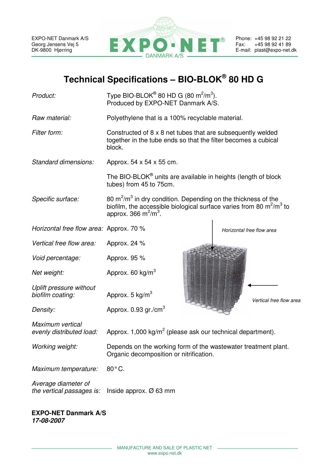

# **Technical Specifications – BIO-BLOK® 80 HD G**

| Product:                                         | Type BIO-BLOK® 80 HD G (80 m <sup>2</sup> /m <sup>3</sup> ).<br>Produced by EXPO-NET Danmark A/S.                                                                     |                           |  |
|--------------------------------------------------|-----------------------------------------------------------------------------------------------------------------------------------------------------------------------|---------------------------|--|
| Raw material:                                    | Polyethylene that is a 100% recyclable material.                                                                                                                      |                           |  |
| Filter form:                                     | Constructed of 8 x 8 net tubes that are subsequently welded<br>together in the tube ends so that the filter becomes a cubical<br>block.                               |                           |  |
| Standard dimensions:                             | Approx. 54 x 54 x 55 cm.                                                                                                                                              |                           |  |
|                                                  | The BIO-BLOK <sup>®</sup> units are available in heights (length of block<br>tubes) from 45 to 75cm.                                                                  |                           |  |
| Specific surface:                                | 80 $m^2/m^3$ in dry condition. Depending on the thickness of the<br>biofilm, the accessible biological surface varies from 80 $m^2/m^3$ to<br>approx. 366 $m^2/m^3$ . |                           |  |
| Horizontal free flow area: Approx. 70 %          |                                                                                                                                                                       | Horizontal free flow area |  |
| Vertical free flow area:                         | Approx. 24 %                                                                                                                                                          |                           |  |
| Void percentage:                                 | Approx. 95 %                                                                                                                                                          |                           |  |
| Net weight:                                      | Approx. 60 kg/m <sup>3</sup>                                                                                                                                          |                           |  |
| Uplift pressure without<br>biofilm coating:      | Approx. 5 $kg/m3$                                                                                                                                                     | Vertical free flow area   |  |
| Density:                                         | Approx. $0.93$ gr./cm <sup>3</sup>                                                                                                                                    |                           |  |
| Maximum vertical<br>evenly distributed load:     | Approx. 1,000 kg/m <sup>2</sup> (please ask our technical department).                                                                                                |                           |  |
| Working weight:                                  | Depends on the working form of the wastewater treatment plant.<br>Organic decomposition or nitrification.                                                             |                           |  |
| Maximum temperature:                             | 80°C.                                                                                                                                                                 |                           |  |
| Average diameter of<br>the vertical passages is: | Inside approx. $\varnothing$ 63 mm                                                                                                                                    |                           |  |
|                                                  |                                                                                                                                                                       |                           |  |

#### **EXPO-NET Danmark A/S 17-08-2007**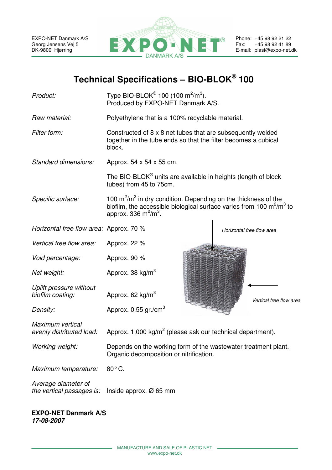

| Product:                                         | Type BIO-BLOK <sup>®</sup> 100 (100 m <sup>2</sup> /m <sup>3</sup> ).<br>Produced by EXPO-NET Danmark A/S.                                                                                |                           |  |
|--------------------------------------------------|-------------------------------------------------------------------------------------------------------------------------------------------------------------------------------------------|---------------------------|--|
| Raw material:                                    | Polyethylene that is a 100% recyclable material.                                                                                                                                          |                           |  |
| Filter form:                                     | Constructed of 8 x 8 net tubes that are subsequently welded<br>together in the tube ends so that the filter becomes a cubical<br>block.                                                   |                           |  |
| Standard dimensions:                             | Approx. 54 x 54 x 55 cm.                                                                                                                                                                  |                           |  |
|                                                  | The BIO-BLOK <sup>®</sup> units are available in heights (length of block<br>tubes) from 45 to 75cm.                                                                                      |                           |  |
| Specific surface:                                | 100 $\mathrm{m}^2/\mathrm{m}^3$ in dry condition. Depending on the thickness of the<br>biofilm, the accessible biological surface varies from 100 $m^2/m^3$ to<br>approx. 336 $m^2/m^3$ . |                           |  |
| Horizontal free flow area: Approx. 70 %          |                                                                                                                                                                                           | Horizontal free flow area |  |
| Vertical free flow area:                         | Approx. 22 %                                                                                                                                                                              |                           |  |
| Void percentage:                                 | Approx. 90 %                                                                                                                                                                              |                           |  |
| Net weight:                                      | Approx. 38 kg/m <sup>3</sup>                                                                                                                                                              |                           |  |
| Uplift pressure without<br>biofilm coating:      | Approx. $62 \text{ kg/m}^3$                                                                                                                                                               | Vertical free flow area   |  |
| Density:                                         | Approx. $0.55$ gr./cm <sup>3</sup>                                                                                                                                                        |                           |  |
| Maximum vertical<br>evenly distributed load:     | Approx. 1,000 kg/ $m^2$ (please ask our technical department).                                                                                                                            |                           |  |
| Working weight:                                  | Depends on the working form of the wastewater treatment plant.<br>Organic decomposition or nitrification.                                                                                 |                           |  |
| Maximum temperature:                             | 80°C.                                                                                                                                                                                     |                           |  |
| Average diameter of<br>the vertical passages is: | Inside approx. $\varnothing$ 65 mm                                                                                                                                                        |                           |  |
|                                                  |                                                                                                                                                                                           |                           |  |

**EXPO-NET Danmark A/S 17-08-2007**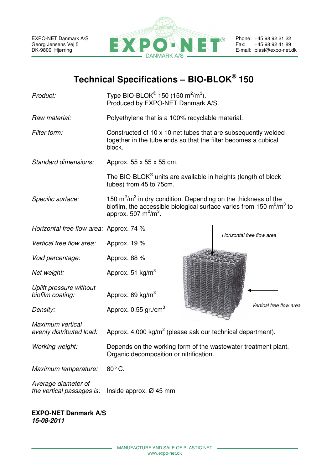

| Product:                                                             | Type BIO-BLOK <sup>®</sup> 150 (150 m <sup>2</sup> /m <sup>3</sup> ).<br>Produced by EXPO-NET Danmark A/S.                                                                            |                           |  |
|----------------------------------------------------------------------|---------------------------------------------------------------------------------------------------------------------------------------------------------------------------------------|---------------------------|--|
| Raw material:                                                        | Polyethylene that is a 100% recyclable material.                                                                                                                                      |                           |  |
| Filter form:                                                         | Constructed of 10 x 10 net tubes that are subsequently welded<br>together in the tube ends so that the filter becomes a cubical<br>block.                                             |                           |  |
| Standard dimensions:                                                 | Approx. 55 x 55 x 55 cm.                                                                                                                                                              |                           |  |
|                                                                      | The BIO-BLOK <sup>®</sup> units are available in heights (length of block<br>tubes) from 45 to 75cm.                                                                                  |                           |  |
| Specific surface:                                                    | 150 $m^2/m^3$ in dry condition. Depending on the thickness of the<br>biofilm, the accessible biological surface varies from 150 $\text{m}^2/\text{m}^3$ to<br>approx. 507 $m^2/m^3$ . |                           |  |
| Horizontal free flow area: Approx. 74 %                              |                                                                                                                                                                                       | Horizontal free flow area |  |
| Vertical free flow area:                                             | Approx. 19 %                                                                                                                                                                          |                           |  |
| Void percentage:                                                     | Approx. 88 %                                                                                                                                                                          |                           |  |
| Net weight:                                                          | Approx. 51 $kg/m3$                                                                                                                                                                    |                           |  |
| Uplift pressure without<br>biofilm coating:                          | Approx. 69 kg/m <sup>3</sup>                                                                                                                                                          |                           |  |
| Density:                                                             | Approx. 0.55 gr./cm <sup>3</sup>                                                                                                                                                      | Vertical free flow area   |  |
| Maximum vertical<br>evenly distributed load:                         | Approx. 4,000 kg/m <sup>2</sup> (please ask our technical department).                                                                                                                |                           |  |
| Working weight:                                                      | Depends on the working form of the wastewater treatment plant.<br>Organic decomposition or nitrification.                                                                             |                           |  |
| Maximum temperature:                                                 | 80°C.                                                                                                                                                                                 |                           |  |
| Average diameter of<br>the vertical passages is:                     | Inside approx. $\varnothing$ 45 mm                                                                                                                                                    |                           |  |
| $TVDO$ NIFT $D_{\text{meas}}$ $\mathbf{L}$ $\mathbf{L}$ $\mathbf{R}$ |                                                                                                                                                                                       |                           |  |

**EXPO-NET Danmark A/S 15-08-2011**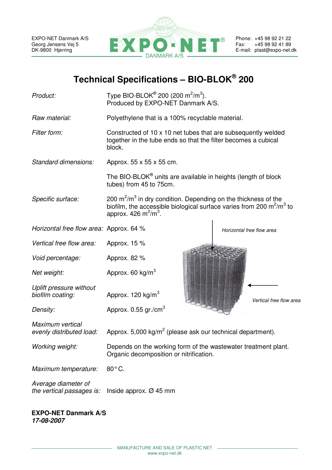

| Product:                                         | Type BIO-BLOK® 200 (200 m <sup>2</sup> /m <sup>3</sup> ).<br>Produced by EXPO-NET Danmark A/S.                                                                          |                           |  |
|--------------------------------------------------|-------------------------------------------------------------------------------------------------------------------------------------------------------------------------|---------------------------|--|
| Raw material:                                    | Polyethylene that is a 100% recyclable material.                                                                                                                        |                           |  |
| Filter form:                                     | Constructed of 10 x 10 net tubes that are subsequently welded<br>together in the tube ends so that the filter becomes a cubical<br>block.                               |                           |  |
| Standard dimensions:                             | Approx. 55 x 55 x 55 cm.                                                                                                                                                |                           |  |
|                                                  | The BIO-BLOK <sup>®</sup> units are available in heights (length of block<br>tubes) from 45 to 75cm.                                                                    |                           |  |
| Specific surface:                                | 200 $m^2/m^3$ in dry condition. Depending on the thickness of the<br>biofilm, the accessible biological surface varies from 200 $m^2/m^3$ to<br>approx. 426 $m^2/m^3$ . |                           |  |
| Horizontal free flow area: Approx. 64 %          |                                                                                                                                                                         | Horizontal free flow area |  |
| Vertical free flow area:                         | Approx. 15 %                                                                                                                                                            |                           |  |
| Void percentage:                                 | Approx. 82 %                                                                                                                                                            |                           |  |
| Net weight:                                      | Approx. 60 kg/m <sup>3</sup>                                                                                                                                            |                           |  |
| Uplift pressure without<br>biofilm coating:      | Approx. $120 \text{ kg/m}^3$                                                                                                                                            | Vertical free flow area   |  |
| Density:                                         | Approx. $0.55$ gr./cm <sup>3</sup>                                                                                                                                      |                           |  |
| Maximum vertical<br>evenly distributed load:     | Approx. 5,000 kg/ $m^2$ (please ask our technical department).                                                                                                          |                           |  |
| Working weight:                                  | Depends on the working form of the wastewater treatment plant.<br>Organic decomposition or nitrification.                                                               |                           |  |
| Maximum temperature:                             | 80°C.                                                                                                                                                                   |                           |  |
| Average diameter of<br>the vertical passages is: | Inside approx. $\varnothing$ 45 mm                                                                                                                                      |                           |  |
|                                                  |                                                                                                                                                                         |                           |  |

#### **EXPO-NET Danmark A/S 17-08-2007**